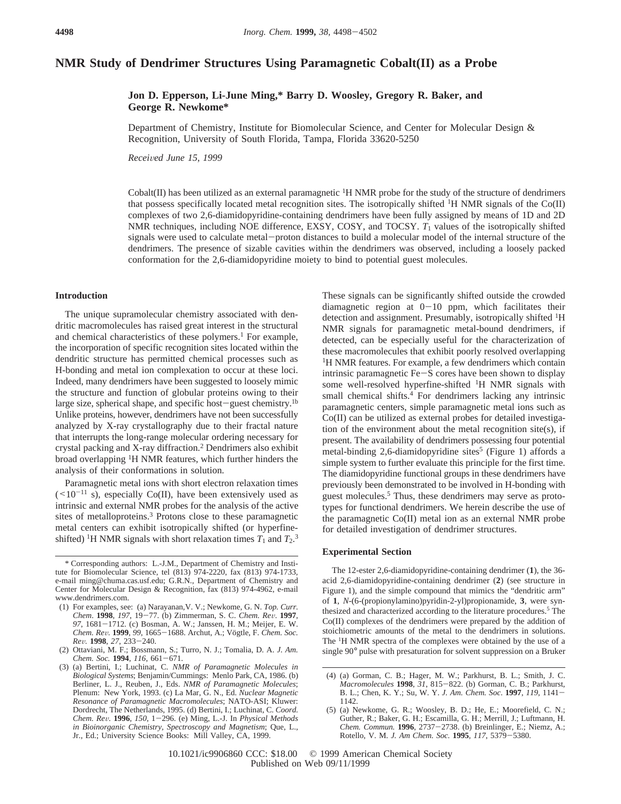# **NMR Study of Dendrimer Structures Using Paramagnetic Cobalt(II) as a Probe**

## **Jon D. Epperson, Li-June Ming,\* Barry D. Woosley, Gregory R. Baker, and George R. Newkome\***

Department of Chemistry, Institute for Biomolecular Science, and Center for Molecular Design & Recognition, University of South Florida, Tampa, Florida 33620-5250

*Recei*V*ed June 15, 1999*

Cobalt(II) has been utilized as an external paramagnetic  ${}^{1}$ H NMR probe for the study of the structure of dendrimers that possess specifically located metal recognition sites. The isotropically shifted 1H NMR signals of the Co(II) complexes of two 2,6-diamidopyridine-containing dendrimers have been fully assigned by means of 1D and 2D NMR techniques, including NOE difference, EXSY, COSY, and TOCSY. *T*<sub>1</sub> values of the isotropically shifted signals were used to calculate metal-proton distances to build a molecular model of the internal structure of the dendrimers. The presence of sizable cavities within the dendrimers was observed, including a loosely packed conformation for the 2,6-diamidopyridine moiety to bind to potential guest molecules.

#### **Introduction**

The unique supramolecular chemistry associated with dendritic macromolecules has raised great interest in the structural and chemical characteristics of these polymers.<sup>1</sup> For example, the incorporation of specific recognition sites located within the dendritic structure has permitted chemical processes such as H-bonding and metal ion complexation to occur at these loci. Indeed, many dendrimers have been suggested to loosely mimic the structure and function of globular proteins owing to their large size, spherical shape, and specific host-guest chemistry.<sup>1b</sup> Unlike proteins, however, dendrimers have not been successfully analyzed by X-ray crystallography due to their fractal nature that interrupts the long-range molecular ordering necessary for crystal packing and X-ray diffraction.2 Dendrimers also exhibit broad overlapping 1H NMR features, which further hinders the analysis of their conformations in solution.

Paramagnetic metal ions with short electron relaxation times  $(<10^{-11}$  s), especially Co(II), have been extensively used as intrinsic and external NMR probes for the analysis of the active sites of metalloproteins.<sup>3</sup> Protons close to these paramagnetic metal centers can exhibit isotropically shifted (or hyperfineshifted) <sup>1</sup>H NMR signals with short relaxation times  $T_1$  and  $T_2$ .<sup>3</sup>

These signals can be significantly shifted outside the crowded diamagnetic region at  $0-10$  ppm, which facilitates their detection and assignment. Presumably, isotropically shifted <sup>1</sup>H NMR signals for paramagnetic metal-bound dendrimers, if detected, can be especially useful for the characterization of these macromolecules that exhibit poorly resolved overlapping <sup>1</sup>H NMR features. For example, a few dendrimers which contain intrinsic paramagnetic Fe-S cores have been shown to display some well-resolved hyperfine-shifted 1H NMR signals with small chemical shifts.<sup>4</sup> For dendrimers lacking any intrinsic paramagnetic centers, simple paramagnetic metal ions such as Co(II) can be utilized as external probes for detailed investigation of the environment about the metal recognition site(s), if present. The availability of dendrimers possessing four potential metal-binding 2,6-diamidopyridine sites<sup>5</sup> (Figure 1) affords a simple system to further evaluate this principle for the first time. The diamidopyridine functional groups in these dendrimers have previously been demonstrated to be involved in H-bonding with guest molecules.5 Thus, these dendrimers may serve as prototypes for functional dendrimers. We herein describe the use of the paramagnetic Co(II) metal ion as an external NMR probe for detailed investigation of dendrimer structures.

### **Experimental Section**

The 12-ester 2,6-diamidopyridine-containing dendrimer (**1**), the 36 acid 2,6-diamidopyridine-containing dendrimer (**2**) (see structure in Figure 1), and the simple compound that mimics the "dendritic arm" of **1**, *N*-(6-(propionylamino)pyridin-2-yl)propionamide, **3**, were synthesized and characterized according to the literature procedures.5 The Co(II) complexes of the dendrimers were prepared by the addition of stoichiometric amounts of the metal to the dendrimers in solutions. The 1H NMR spectra of the complexes were obtained by the use of a single 90° pulse with presaturation for solvent suppression on a Bruker

<sup>\*</sup> Corresponding authors: L.-J.M., Department of Chemistry and Institute for Biomolecular Science, tel (813) 974-2220, fax (813) 974-1733, e-mail ming@chuma.cas.usf.edu; G.R.N., Department of Chemistry and Center for Molecular Design & Recognition, fax (813) 974-4962, e-mail www.dendrimers.com.

<sup>(1)</sup> For examples, see: (a) Narayanan,V. V.; Newkome, G. N. *Top. Curr. Chem*. **<sup>1998</sup>**, *<sup>197</sup>*, 19-77. (b) Zimmerman, S. C. *Chem. Re*V. **<sup>1997</sup>**, *<sup>97</sup>*, 1681-1712. (c) Bosman, A. W.; Janssen, H. M.; Meijer, E. W. *Chem. Re*V*.* **<sup>1999</sup>**, *<sup>99</sup>*, 1665-1688. Archut, A.; Vo¨gtle, F. *Chem. Soc. Re*V*.* **<sup>1998</sup>**, *<sup>27</sup>*, 233-240.

<sup>(2)</sup> Ottaviani, M. F.; Bossmann, S.; Turro, N. J.; Tomalia, D. A. *J. Am. Chem. Soc.* **<sup>1994</sup>**, *<sup>116</sup>*, 661-671.

<sup>(3) (</sup>a) Bertini, I.; Luchinat, C. *NMR of Paramagnetic Molecules in Biological Systems*; Benjamin/Cummings: Menlo Park, CA, 1986. (b) Berliner, L. J., Reuben, J., Eds. *NMR of Paramagnetic Molecules*; Plenum: New York, 1993. (c) La Mar, G. N., Ed. *Nuclear Magnetic Resonance of Paramagnetic Macromolecules*; NATO-ASI; Kluwer: Dordrecht, The Netherlands, 1995. (d) Bertini, I.; Luchinat, C. *Coord. Chem. Re*V*.* **<sup>1996</sup>**, *<sup>150</sup>*, 1-296. (e) Ming, L.-J. In *Physical Methods in Bioinorganic Chemistry, Spectroscopy and Magnetism*; Que, L., Jr., Ed.; University Science Books: Mill Valley, CA, 1999.

<sup>(4) (</sup>a) Gorman, C. B.; Hager, M. W.; Parkhurst, B. L.; Smith, J. C. *Macromolecules* **<sup>1998</sup>**, *<sup>31</sup>*, 815-822. (b) Gorman, C. B.; Parkhurst, B. L.; Chen, K. Y.; Su, W. Y. *J. Am. Chem. Soc*. **<sup>1997</sup>**, *<sup>119</sup>*, 1141- 1142.

<sup>(5) (</sup>a) Newkome, G. R.; Woosley, B. D.; He, E.; Moorefield, C. N.; Guther, R.; Baker, G. H.; Escamilla, G. H.; Merrill, J.; Luftmann, H. *Chem. Commun.* **<sup>1996</sup>**, 2737-2738. (b) Breinlinger, E.; Niemz, A.; Rotello, V. M. *J. Am Chem. Soc.* **<sup>1995</sup>**, *<sup>117</sup>*, 5379-5380.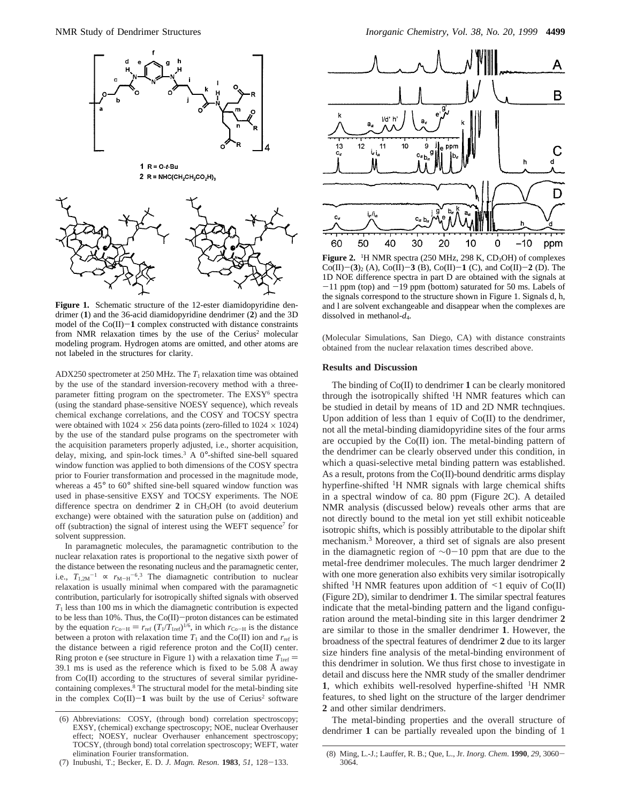

Figure 1. Schematic structure of the 12-ester diamidopyridine dendrimer (**1**) and the 36-acid diamidopyridine dendrimer (**2**) and the 3D model of the  $Co(II)-1$  complex constructed with distance constraints from NMR relaxation times by the use of the Cerius<sup>2</sup> molecular modeling program. Hydrogen atoms are omitted, and other atoms are not labeled in the structures for clarity.

ADX250 spectrometer at 250 MHz. The *T*<sup>1</sup> relaxation time was obtained by the use of the standard inversion-recovery method with a threeparameter fitting program on the spectrometer. The EXSY<sup>6</sup> spectra (using the standard phase-sensitive NOESY sequence), which reveals chemical exchange correlations, and the COSY and TOCSY spectra were obtained with  $1024 \times 256$  data points (zero-filled to  $1024 \times 1024$ ) by the use of the standard pulse programs on the spectrometer with the acquisition parameters properly adjusted, i.e., shorter acquisition, delay, mixing, and spin-lock times.3 A 0°-shifted sine-bell squared window function was applied to both dimensions of the COSY spectra prior to Fourier transformation and processed in the magnitude mode, whereas a 45° to 60° shifted sine-bell squared window function was used in phase-sensitive EXSY and TOCSY experiments. The NOE difference spectra on dendrimer **2** in CH3OH (to avoid deuterium exchange) were obtained with the saturation pulse on (addition) and off (subtraction) the signal of interest using the WEFT sequence<sup>7</sup> for solvent suppression.

In paramagnetic molecules, the paramagnetic contribution to the nuclear relaxation rates is proportional to the negative sixth power of the distance between the resonating nucleus and the paramagnetic center, i.e.,  $T_{1,2M}^{-1} \propto r_{M-H}^{-6.3}$  The diamagnetic contribution to nuclear relaxation is usually minimal when compared with the nonpresentation relaxation is usually minimal when compared with the paramagnetic contribution, particularly for isotropically shifted signals with observed *T*<sup>1</sup> less than 100 ms in which the diamagnetic contribution is expected to be less than 10%. Thus, the Co(II)-proton distances can be estimated by the equation  $r_{Co-H} = r_{ref} (T_1/T_{1ref})^{1/6}$ , in which  $r_{Co-H}$  is the distance between a proton with relaxation time  $T_1$  and the Co(II) ion and  $r_{ref}$  is the distance between a rigid reference proton and the Co(II) center. Ring proton e (see structure in Figure 1) with a relaxation time  $T_{1ref}$  = 39.1 ms is used as the reference which is fixed to be 5.08 Å away from Co(II) according to the structures of several similar pyridinecontaining complexes.8 The structural model for the metal-binding site in the complex  $Co(II)-1$  was built by the use of Cerius<sup>2</sup> software

(7) Inubushi, T.; Becker, E. D. *J. Magn. Reson.* **<sup>1983</sup>**, *<sup>51</sup>*, 128-133.



**Figure 2.** <sup>1</sup>H NMR spectra (250 MHz, 298 K,  $CD_3OH$ ) of complexes  $Co(II)$ – $(3)_2$  (A),  $Co(II)$ – $3$  (B),  $Co(II)$ – $1$  (C), and  $Co(II)$ – $2$  (D). The 1D NOE difference spectra in part D are obtained with the signals at  $-11$  ppm (top) and  $-19$  ppm (bottom) saturated for 50 ms. Labels of the signals correspond to the structure shown in Figure 1. Signals d, h, and l are solvent exchangeable and disappear when the complexes are dissolved in methanol-*d*4.

(Molecular Simulations, San Diego, CA) with distance constraints obtained from the nuclear relaxation times described above.

### **Results and Discussion**

The binding of Co(II) to dendrimer **1** can be clearly monitored through the isotropically shifted 1H NMR features which can be studied in detail by means of 1D and 2D NMR technqiues. Upon addition of less than 1 equiv of Co(II) to the dendrimer, not all the metal-binding diamidopyridine sites of the four arms are occupied by the Co(II) ion. The metal-binding pattern of the dendrimer can be clearly observed under this condition, in which a quasi-selective metal binding pattern was established. As a result, protons from the Co(II)-bound dendritic arms display hyperfine-shifted 1H NMR signals with large chemical shifts in a spectral window of ca. 80 ppm (Figure 2C). A detailed NMR analysis (discussed below) reveals other arms that are not directly bound to the metal ion yet still exhibit noticeable isotropic shifts, which is possibly attributable to the dipolar shift mechanism.3 Moreover, a third set of signals are also present in the diamagnetic region of <sup>∼</sup>0-10 ppm that are due to the metal-free dendrimer molecules. The much larger dendrimer **2** with one more generation also exhibits very similar isotropically shifted <sup>1</sup>H NMR features upon addition of  $\leq$  1 equiv of Co(II) (Figure 2D), similar to dendrimer **1**. The similar spectral features indicate that the metal-binding pattern and the ligand configuration around the metal-binding site in this larger dendrimer **2** are similar to those in the smaller dendrimer **1**. However, the broadness of the spectral features of dendrimer **2** due to its larger size hinders fine analysis of the metal-binding environment of this dendrimer in solution. We thus first chose to investigate in detail and discuss here the NMR study of the smaller dendrimer **1**, which exhibits well-resolved hyperfine-shifted 1H NMR features, to shed light on the structure of the larger dendrimer **2** and other similar dendrimers.

The metal-binding properties and the overall structure of dendrimer **1** can be partially revealed upon the binding of 1

<sup>(6)</sup> Abbreviations: COSY, (through bond) correlation spectroscopy; EXSY, (chemical) exchange spectroscopy; NOE, nuclear Overhauser effect; NOESY, nuclear Overhauser enhancement spectroscopy; TOCSY, (through bond) total correlation spectroscopy; WEFT, water elimination Fourier transformation.

<sup>(8)</sup> Ming, L.-J.; Lauffer, R. B.; Que, L., Jr. *Inorg. Chem*. **<sup>1990</sup>**, *<sup>29</sup>*, 3060- 3064.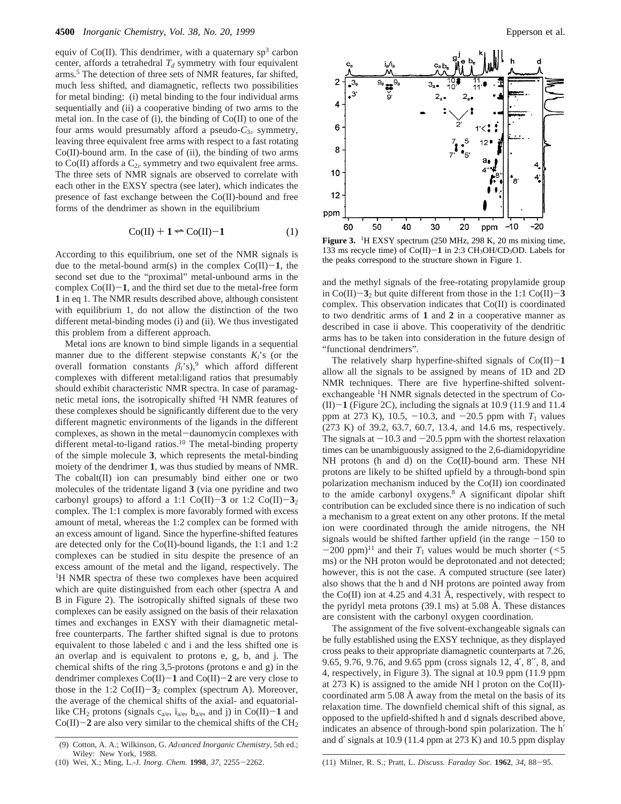equiv of  $Co(II)$ . This dendrimer, with a quaternary sp<sup>3</sup> carbon center, affords a tetrahedral  $T_d$  symmetry with four equivalent arms.5 The detection of three sets of NMR features, far shifted, much less shifted, and diamagnetic, reflects two possibilities for metal binding: (i) metal binding to the four individual arms sequentially and (ii) a cooperative binding of two arms to the metal ion. In the case of (i), the binding of Co(II) to one of the four arms would presumably afford a pseudo- $C_{3v}$  symmetry, leaving three equivalent free arms with respect to a fast rotating  $Co(II)$ -bound arm. In the case of (ii), the binding of two arms to Co(II) affords a  $C_{2v}$  symmetry and two equivalent free arms. The three sets of NMR signals are observed to correlate with each other in the EXSY spectra (see later), which indicates the presence of fast exchange between the Co(II)-bound and free forms of the dendrimer as shown in the equilibrium

$$
Co(II) + 1 \rightleftharpoons Co(II) - 1 \tag{1}
$$

According to this equilibrium, one set of the NMR signals is due to the metal-bound arm(s) in the complex  $Co(II)-1$ , the second set due to the "proximal" metal-unbound arms in the complex  $Co(II)-1$ , and the third set due to the metal-free form **1** in eq 1. The NMR results described above, although consistent with equilibrium 1, do not allow the distinction of the two different metal-binding modes (i) and (ii). We thus investigated this problem from a different approach.

Metal ions are known to bind simple ligands in a sequential manner due to the different stepwise constants *Ki*'s (or the overall formation constants  $\beta_i$ 's),<sup>9</sup> which afford different complexes with different metal:ligand ratios that presumably should exhibit characteristic NMR spectra. In case of paramagnetic metal ions, the isotropically shifted 1H NMR features of these complexes should be significantly different due to the very different magnetic environments of the ligands in the different complexes, as shown in the metal-daunomycin complexes with different metal-to-ligand ratios.<sup>10</sup> The metal-binding property of the simple molecule **3**, which represents the metal-binding moiety of the dendrimer **1**, was thus studied by means of NMR. The cobalt(II) ion can presumably bind either one or two molecules of the tridentate ligand **3** (via one pyridine and two carbonyl groups) to afford a 1:1 Co(II)-3 or 1:2 Co(II)-3<sub>2</sub> complex. The 1:1 complex is more favorably formed with excess amount of metal, whereas the 1:2 complex can be formed with an excess amount of ligand. Since the hyperfine-shifted features are detected only for the Co(II)-bound ligands, the 1:1 and 1:2 complexes can be studied in situ despite the presence of an excess amount of the metal and the ligand, respectively. The <sup>1</sup>H NMR spectra of these two complexes have been acquired which are quite distinguished from each other (spectra A and B in Figure 2). The isotropically shifted signals of these two complexes can be easily assigned on the basis of their relaxation times and exchanges in EXSY with their diamagnetic metalfree counterparts. The farther shifted signal is due to protons equivalent to those labeled c and i and the less shifted one is an overlap and is equivalent to protons e, g, b, and j. The chemical shifts of the ring 3,5-protons (protons e and g) in the dendrimer complexes  $Co(II)-1$  and  $Co(II)-2$  are very close to those in the 1:2  $Co(II) - 3<sub>2</sub>$  complex (spectrum A). Moreover, the average of the chemical shifts of the axial- and equatoriallike CH<sub>2</sub> protons (signals  $c_{a/e}$ ,  $i_{a/e}$ ,  $b_{a/e}$ , and j) in Co(II)-1 and  $Co(II)-2$  are also very similar to the chemical shifts of the  $CH<sub>2</sub>$ 



**Figure 3.** 1H EXSY spectrum (250 MHz, 298 K, 20 ms mixing time, 133 ms recycle time) of Co(II)-1 in 2:3 CH<sub>3</sub>OH/CD<sub>3</sub>OD. Labels for the peaks correspond to the structure shown in Figure 1.

and the methyl signals of the free-rotating propylamide group in  $Co(II)-3<sub>2</sub>$  but quite different from those in the 1:1  $Co(II)-3$ complex. This observation indicates that Co(II) is coordinated to two dendritic arms of **1** and **2** in a cooperative manner as described in case ii above. This cooperativity of the dendritic arms has to be taken into consideration in the future design of "functional dendrimers".

The relatively sharp hyperfine-shifted signals of  $Co(II)-1$ allow all the signals to be assigned by means of 1D and 2D NMR techniques. There are five hyperfine-shifted solventexchangeable 1H NMR signals detected in the spectrum of Co-  $(II)$  $-1$  (Figure 2C), including the signals at 10.9 (11.9 and 11.4 ppm at 273 K), 10.5,  $-10.3$ , and  $-20.5$  ppm with  $T_1$  values (273 K) of 39.2, 63.7, 60.7, 13.4, and 14.6 ms, respectively. The signals at  $-10.3$  and  $-20.5$  ppm with the shortest relaxation times can be unambiguously assigned to the 2,6-diamidopyridine NH protons (h and d) on the Co(II)-bound arm. These NH protons are likely to be shifted upfield by a through-bond spin polarization mechanism induced by the Co(II) ion coordinated to the amide carbonyl oxygens.8 A significant dipolar shift contribution can be excluded since there is no indication of such a mechanism to a great extent on any other protons. If the metal ion were coordinated through the amide nitrogens, the NH signals would be shifted farther upfield (in the range  $-150$  to  $-200$  ppm)<sup>11</sup> and their  $T_1$  values would be much shorter ( $\leq 5$ ) ms) or the NH proton would be deprotonated and not detected; however, this is not the case. A computed structure (see later) also shows that the h and d NH protons are pointed away from the Co(II) ion at 4.25 and 4.31 Å, respectively, with respect to the pyridyl meta protons (39.1 ms) at 5.08 Å. These distances are consistent with the carbonyl oxygen coordination.

The assignment of the five solvent-exchangeable signals can be fully established using the EXSY technique, as they displayed cross peaks to their appropriate diamagnetic counterparts at 7.26, 9.65, 9.76, 9.76, and 9.65 ppm (cross signals 12, 4′, 8′′, 8, and 4, respectively, in Figure 3). The signal at 10.9 ppm (11.9 ppm at 273 K) is assigned to the amide NH l proton on the  $Co(II)$ coordinated arm 5.08 Å away from the metal on the basis of its relaxation time. The downfield chemical shift of this signal, as opposed to the upfield-shifted h and d signals described above, indicates an absence of through-bond spin polarization. The h′ and d′ signals at 10.9 (11.4 ppm at 273 K) and 10.5 ppm display (9) Cotton, A. A.; Wilkinson, G. *Ad*V*anced Inorganic Chemistry*, 5th ed.;

Wiley: New York, 1988.

<sup>(10)</sup> Wei, X.; Ming, L.-J. *Inorg. Chem.* **<sup>1998</sup>**, *<sup>37</sup>*, 2255-2262. (11) Milner, R. S.; Pratt, L. *Discuss. Faraday Soc*. **<sup>1962</sup>**, *<sup>34</sup>*, 88-95.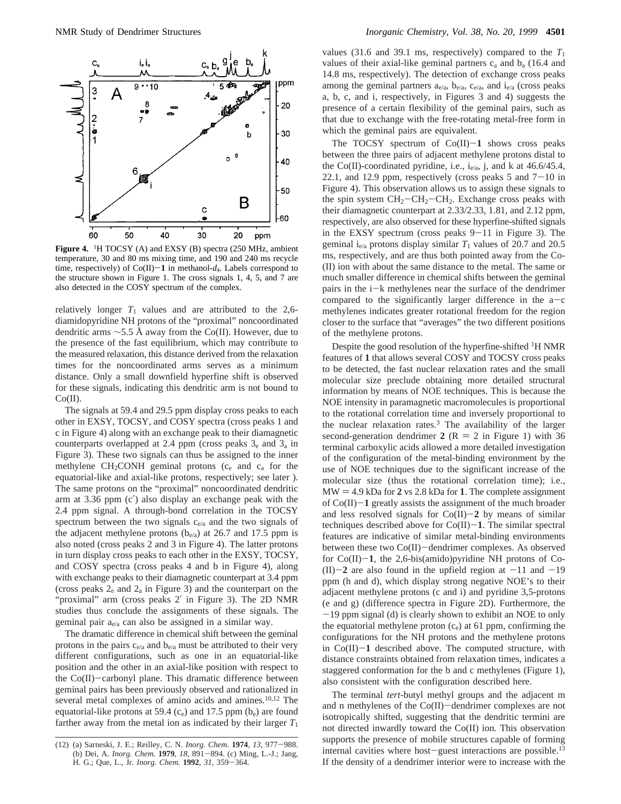

Figure 4. <sup>1</sup>H TOCSY (A) and EXSY (B) spectra (250 MHz, ambient temperature, 30 and 80 ms mixing time, and 190 and 240 ms recycle time, respectively) of  $Co(II)-1$  in methanol- $d_4$ . Labels correspond to the structure shown in Figure 1. The cross signals 1, 4, 5, and 7 are also detected in the COSY spectrum of the complex.

relatively longer  $T_1$  values and are attributed to the 2,6diamidopyridine NH protons of the "proximal" noncoordinated dendritic arms  $\sim$ 5.5 Å away from the Co(II). However, due to the presence of the fast equilibrium, which may contribute to the measured relaxation, this distance derived from the relaxation times for the noncoordinated arms serves as a minimum distance. Only a small downfield hyperfine shift is observed for these signals, indicating this dendritic arm is not bound to Co(II).

The signals at 59.4 and 29.5 ppm display cross peaks to each other in EXSY, TOCSY, and COSY spectra (cross peaks 1 and c in Figure 4) along with an exchange peak to their diamagnetic counterparts overlapped at 2.4 ppm (cross peaks  $3<sub>e</sub>$  and  $3<sub>a</sub>$  in Figure 3). These two signals can thus be assigned to the inner methylene  $CH<sub>2</sub>CONH$  geminal protons ( $c<sub>e</sub>$  and  $c<sub>a</sub>$  for the equatorial-like and axial-like protons, respectively; see later ). The same protons on the "proximal" noncoordinated dendritic arm at 3.36 ppm (c′) also display an exchange peak with the 2.4 ppm signal. A through-bond correlation in the TOCSY spectrum between the two signals  $c_{e/a}$  and the two signals of the adjacent methylene protons  $(b_{e/a})$  at 26.7 and 17.5 ppm is also noted (cross peaks 2 and 3 in Figure 4). The latter protons in turn display cross peaks to each other in the EXSY, TOCSY, and COSY spectra (cross peaks 4 and b in Figure 4), along with exchange peaks to their diamagnetic counterpart at 3.4 ppm (cross peaks  $2_e$  and  $2_a$  in Figure 3) and the counterpart on the "proximal" arm (cross peaks 2′ in Figure 3). The 2D NMR studies thus conclude the assignments of these signals. The geminal pair  $a_{e/a}$  can also be assigned in a similar way.

The dramatic difference in chemical shift between the geminal protons in the pairs  $c_{e/a}$  and  $b_{e/a}$  must be attributed to their very different configurations, such as one in an equatorial-like position and the other in an axial-like position with respect to the Co(II)-carbonyl plane. This dramatic difference between geminal pairs has been previously observed and rationalized in several metal complexes of amino acids and amines.<sup>10,12</sup> The equatorial-like protons at 59.4  $(c_e)$  and 17.5 ppm  $(b_e)$  are found farther away from the metal ion as indicated by their larger  $T_1$ 

values (31.6 and 39.1 ms, respectively) compared to the  $T_1$ values of their axial-like geminal partners  $c_a$  and  $b_a$  (16.4 and 14.8 ms, respectively). The detection of exchange cross peaks among the geminal partners  $a_{e/a}$ ,  $b_{e/a}$ ,  $c_{e/a}$ , and  $i_{e/a}$  (cross peaks a, b, c, and i, respectively, in Figures 3 and 4) suggests the presence of a certain flexibility of the geminal pairs, such as that due to exchange with the free-rotating metal-free form in which the geminal pairs are equivalent.

The TOCSY spectrum of  $Co(II)-1$  shows cross peaks between the three pairs of adjacent methylene protons distal to the Co(II)-coordinated pyridine, i.e.,  $i_{e/a}$ , j, and k at 46.6/45.4, 22.1, and 12.9 ppm, respectively (cross peaks  $5$  and  $7-10$  in Figure 4). This observation allows us to assign these signals to the spin system  $CH_2-CH_2-CH_2$ . Exchange cross peaks with their diamagnetic counterpart at 2.33/2.33, 1.81, and 2.12 ppm, respectively, are also observed for these hyperfine-shifted signals in the EXSY spectrum (cross peaks  $9-11$  in Figure 3). The geminal i<sub>e/a</sub> protons display similar  $T_1$  values of 20.7 and 20.5 ms, respectively, and are thus both pointed away from the Co- (II) ion with about the same distance to the metal. The same or much smaller difference in chemical shifts between the geminal pairs in the i-k methylenes near the surface of the dendrimer compared to the significantly larger difference in the  $a-c$ methylenes indicates greater rotational freedom for the region closer to the surface that "averages" the two different positions of the methylene protons.

Despite the good resolution of the hyperfine-shifted 1H NMR features of **1** that allows several COSY and TOCSY cross peaks to be detected, the fast nuclear relaxation rates and the small molecular size preclude obtaining more detailed structural information by means of NOE techniques. This is because the NOE intensity in paramagnetic macromolecules is proportional to the rotational correlation time and inversely proportional to the nuclear relaxation rates.3 The availability of the larger second-generation dendrimer 2 ( $R = 2$  in Figure 1) with 36 terminal carboxylic acids allowed a more detailed investigation of the configuration of the metal-binding environment by the use of NOE techniques due to the significant increase of the molecular size (thus the rotational correlation time); i.e.,  $MW = 4.9$  kDa for  $2$  vs  $2.8$  kDa for  $1$ . The complete assignment of  $Co(II)-1$  greatly assists the assignment of the much broader and less resolved signals for  $Co(II)-2$  by means of similar techniques described above for Co(II)-**1**. The similar spectral features are indicative of similar metal-binding environments between these two Co(II)-dendrimer complexes. As observed for Co(II)-**1**, the 2,6-bis(amido)pyridine NH protons of Co-  $(II)$ -2 are also found in the upfield region at  $-11$  and  $-19$ ppm (h and d), which display strong negative NOE's to their adjacent methylene protons (c and i) and pyridine 3,5-protons (e and g) (difference spectra in Figure 2D). Furthermore, the -19 ppm signal (d) is clearly shown to exhibit an NOE to only the equatorial methylene proton  $(c_e)$  at 61 ppm, confirming the configurations for the NH protons and the methylene protons in  $Co(II)-1$  described above. The computed structure, with distance constraints obtained from relaxation times, indicates a staggered conformation for the b and c methylenes (Figure 1), also consistent with the configuration described here.

The terminal *tert*-butyl methyl groups and the adjacent m and n methylenes of the Co(II)-dendrimer complexes are not isotropically shifted, suggesting that the dendritic termini are not directed inwardly toward the Co(II) ion. This observation supports the presence of mobile structures capable of forming internal cavities where host-guest interactions are possible.<sup>13</sup> If the density of a dendrimer interior were to increase with the

<sup>(12) (</sup>a) Sarneski, J. E.; Reilley, C. N. *Inorg. Chem.* **<sup>1974</sup>**, *<sup>13</sup>*, 977-988. (b) Dei, A. *Inorg. Chem.* **<sup>1979</sup>**, *<sup>18</sup>*, 891-894. (c) Ming, L.-J.; Jang, H. G.; Que, L., Jr. *Inorg. Chem.* **<sup>1992</sup>**, *<sup>31</sup>*, 359-364.